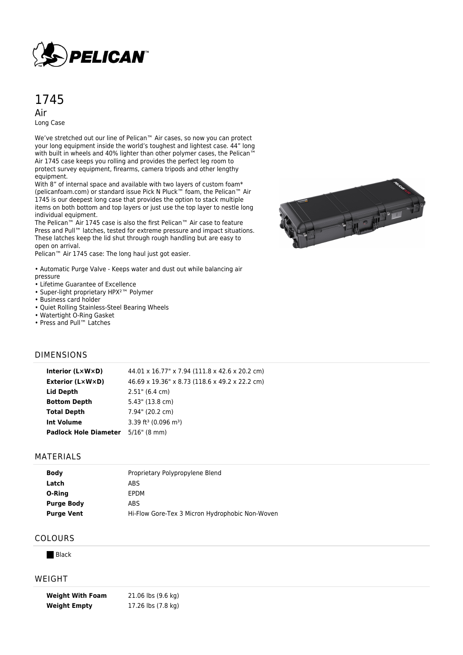

# 1745

Air Long Case

We've stretched out our line of Pelican™ Air cases, so now you can protect your long equipment inside the world's toughest and lightest case. 44" long with built in wheels and 40% lighter than other polymer cases, the Pelican™ Air 1745 case keeps you rolling and provides the perfect leg room to protect survey equipment, firearms, camera tripods and other lengthy equipment.

With 8" of internal space and available with two layers of custom foam\* (pelicanfoam.com) or standard issue Pick N Pluck™ foam, the Pelican™ Air 1745 is our deepest long case that provides the option to stack multiple items on both bottom and top layers or just use the top layer to nestle long individual equipment.

The Pelican™ Air 1745 case is also the first Pelican™ Air case to feature Press and Pull™ latches, tested for extreme pressure and impact situations. These latches keep the lid shut through rough handling but are easy to open on arrival.

Pelican™ Air 1745 case: The long haul just got easier.

• Automatic Purge Valve - Keeps water and dust out while balancing air pressure

- Lifetime Guarantee of Excellence
- Super-light proprietary HPX²™ Polymer
- Business card holder
- Quiet Rolling Stainless-Steel Bearing Wheels
- Watertight O-Ring Gasket
- Press and Pull™ Latches

# 

### DIMENSIONS

| Interior (LxWxD)             | 44.01 x 16.77" x 7.94 (111.8 x 42.6 x 20.2 cm) |
|------------------------------|------------------------------------------------|
| <b>Exterior (L×W×D)</b>      | 46.69 x 19.36" x 8.73 (118.6 x 49.2 x 22.2 cm) |
| Lid Depth                    | $2.51$ " (6.4 cm)                              |
| <b>Bottom Depth</b>          | $5.43$ " (13.8 cm)                             |
| <b>Total Depth</b>           | 7.94" (20.2 cm)                                |
| <b>Int Volume</b>            | 3.39 ft <sup>3</sup> (0.096 m <sup>3</sup> )   |
| <b>Padlock Hole Diameter</b> | $5/16$ " (8 mm)                                |
|                              |                                                |

### **MATERIALS**

| <b>Body</b>       | Proprietary Polypropylene Blend                 |
|-------------------|-------------------------------------------------|
| Latch             | ABS                                             |
| O-Ring            | EPDM                                            |
| <b>Purge Body</b> | ABS                                             |
| <b>Purge Vent</b> | Hi-Flow Gore-Tex 3 Micron Hydrophobic Non-Woven |

## COLOURS

**Black** 

### WEIGHT

**Weight With Foam** 21.06 lbs (9.6 kg) **Weight Empty** 17.26 lbs (7.8 kg)